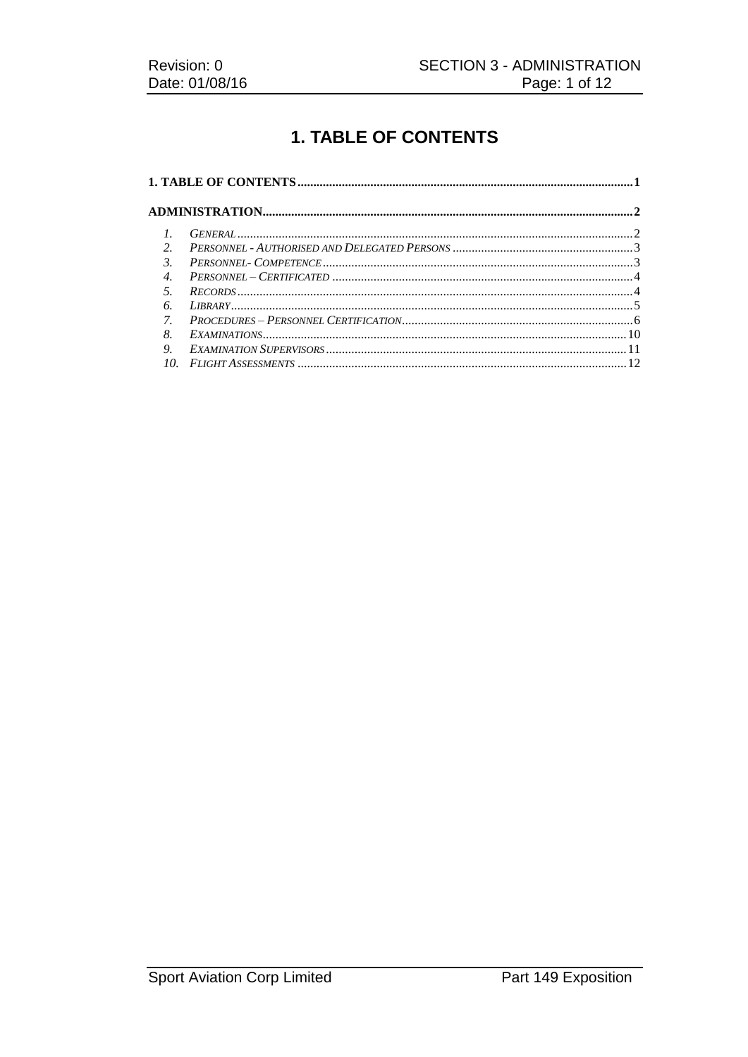# **1. TABLE OF CONTENTS**

| $\mathcal{P}$  |  |  |
|----------------|--|--|
| $\mathcal{Z}$  |  |  |
| $\overline{4}$ |  |  |
|                |  |  |
| 6              |  |  |
| 7 <sub>1</sub> |  |  |
| 8              |  |  |
| 9.             |  |  |
| 10             |  |  |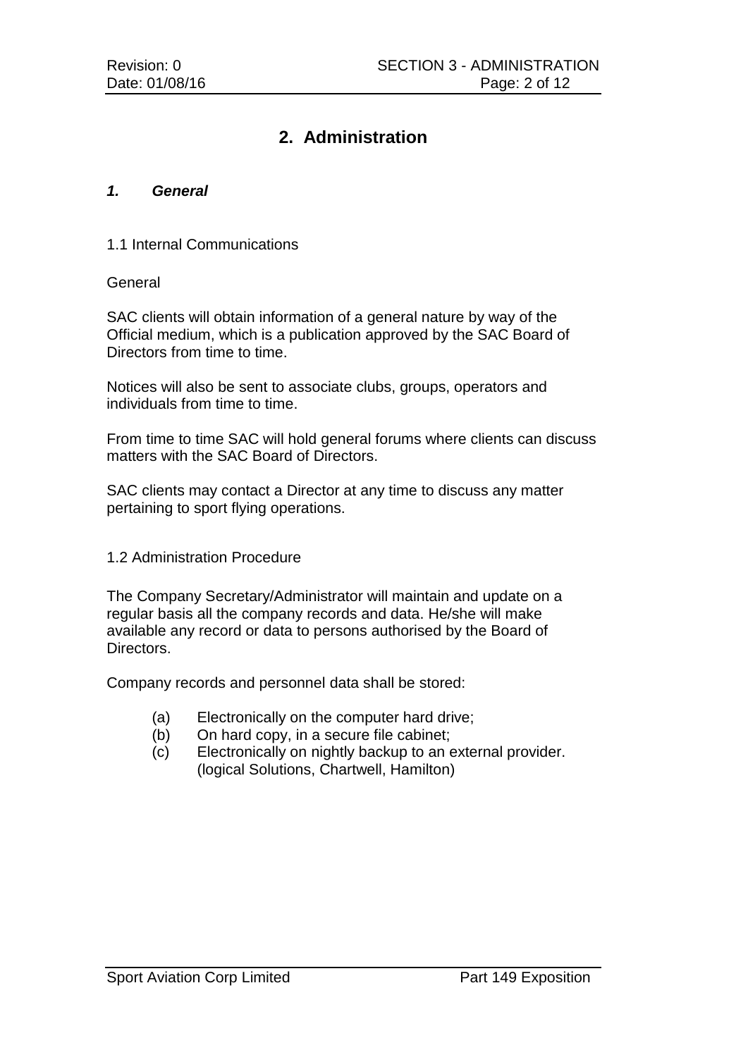## **2. Administration**

#### *1. General*

#### 1.1 Internal Communications

#### **General**

SAC clients will obtain information of a general nature by way of the Official medium, which is a publication approved by the SAC Board of Directors from time to time.

Notices will also be sent to associate clubs, groups, operators and individuals from time to time.

From time to time SAC will hold general forums where clients can discuss matters with the SAC Board of Directors.

SAC clients may contact a Director at any time to discuss any matter pertaining to sport flying operations.

#### 1.2 Administration Procedure

The Company Secretary/Administrator will maintain and update on a regular basis all the company records and data. He/she will make available any record or data to persons authorised by the Board of Directors.

Company records and personnel data shall be stored:

- (a) Electronically on the computer hard drive;
- (b) On hard copy, in a secure file cabinet;
- (c) Electronically on nightly backup to an external provider. (logical Solutions, Chartwell, Hamilton)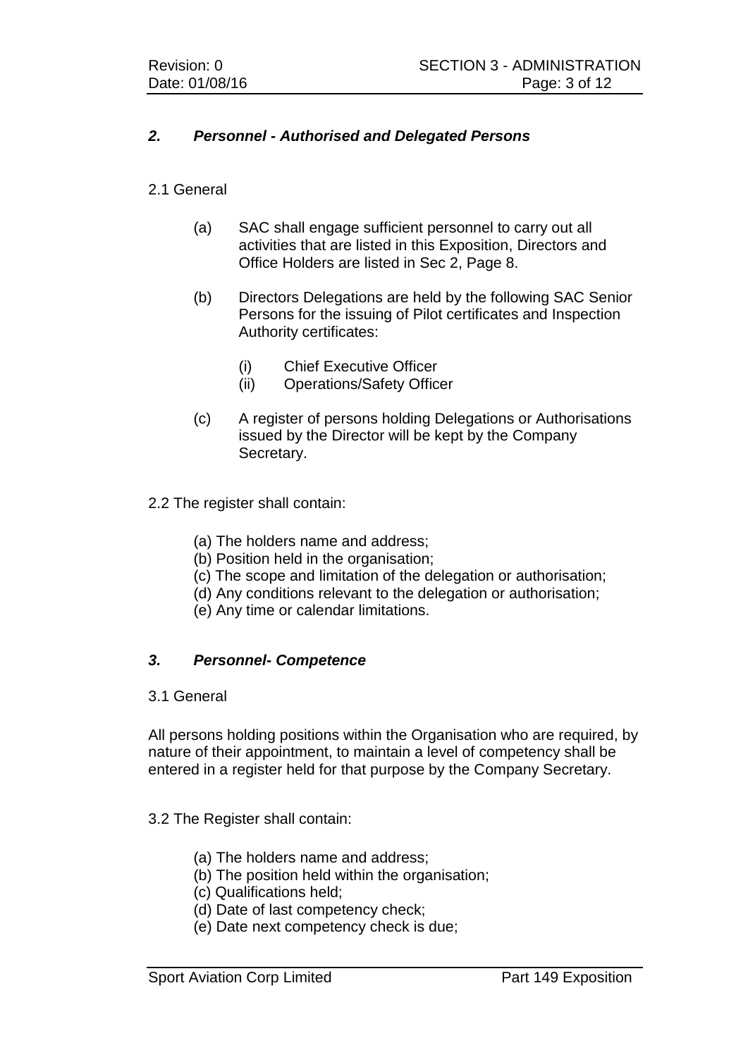## *2. Personnel - Authorised and Delegated Persons*

#### 2.1 General

- (a) SAC shall engage sufficient personnel to carry out all activities that are listed in this Exposition, Directors and Office Holders are listed in Sec 2, Page 8.
- (b) Directors Delegations are held by the following SAC Senior Persons for the issuing of Pilot certificates and Inspection Authority certificates:
	- (i) Chief Executive Officer
	- (ii) Operations/Safety Officer
- (c) A register of persons holding Delegations or Authorisations issued by the Director will be kept by the Company Secretary.
- 2.2 The register shall contain:
	- (a) The holders name and address;
	- (b) Position held in the organisation;
	- (c) The scope and limitation of the delegation or authorisation;
	- (d) Any conditions relevant to the delegation or authorisation;
	- (e) Any time or calendar limitations.

## *3. Personnel- Competence*

#### 3.1 General

All persons holding positions within the Organisation who are required, by nature of their appointment, to maintain a level of competency shall be entered in a register held for that purpose by the Company Secretary.

#### 3.2 The Register shall contain:

- (a) The holders name and address;
- (b) The position held within the organisation;
- (c) Qualifications held;
- (d) Date of last competency check;
- (e) Date next competency check is due;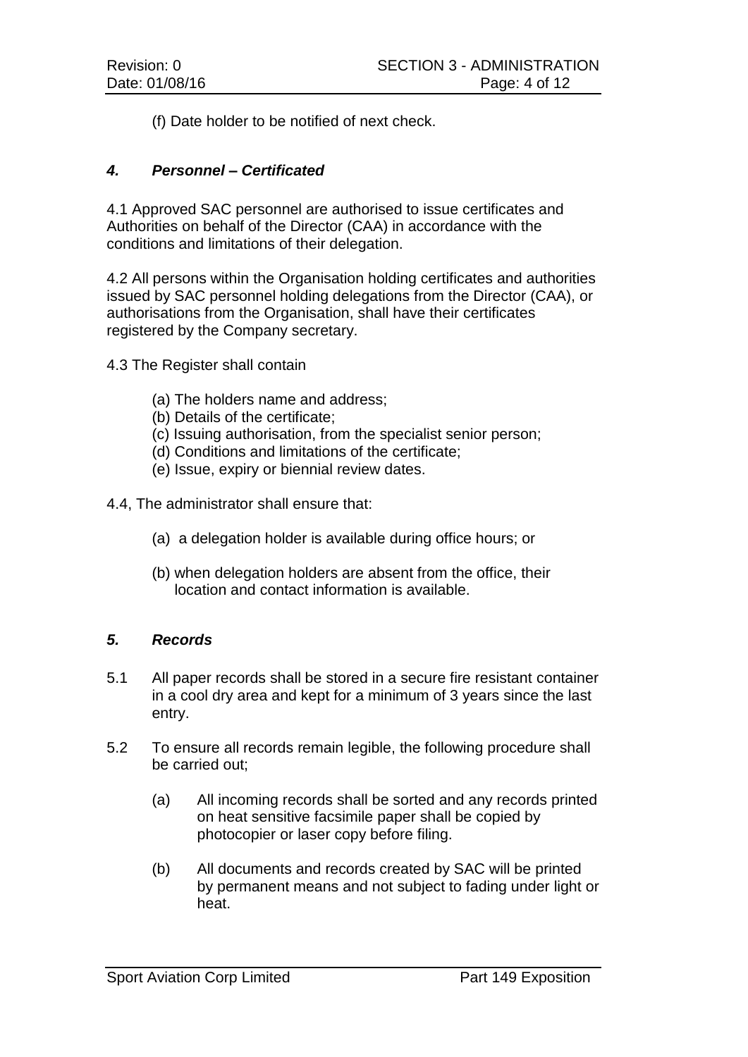(f) Date holder to be notified of next check.

### *4. Personnel – Certificated*

4.1 Approved SAC personnel are authorised to issue certificates and Authorities on behalf of the Director (CAA) in accordance with the conditions and limitations of their delegation.

4.2 All persons within the Organisation holding certificates and authorities issued by SAC personnel holding delegations from the Director (CAA), or authorisations from the Organisation, shall have their certificates registered by the Company secretary.

4.3 The Register shall contain

- (a) The holders name and address;
- (b) Details of the certificate;
- (c) Issuing authorisation, from the specialist senior person;
- (d) Conditions and limitations of the certificate;
- (e) Issue, expiry or biennial review dates.

4.4, The administrator shall ensure that:

- (a) a delegation holder is available during office hours; or
- (b) when delegation holders are absent from the office, their location and contact information is available.

#### *5. Records*

- 5.1 All paper records shall be stored in a secure fire resistant container in a cool dry area and kept for a minimum of 3 years since the last entry.
- 5.2 To ensure all records remain legible, the following procedure shall be carried out:
	- (a) All incoming records shall be sorted and any records printed on heat sensitive facsimile paper shall be copied by photocopier or laser copy before filing.
	- (b) All documents and records created by SAC will be printed by permanent means and not subject to fading under light or heat.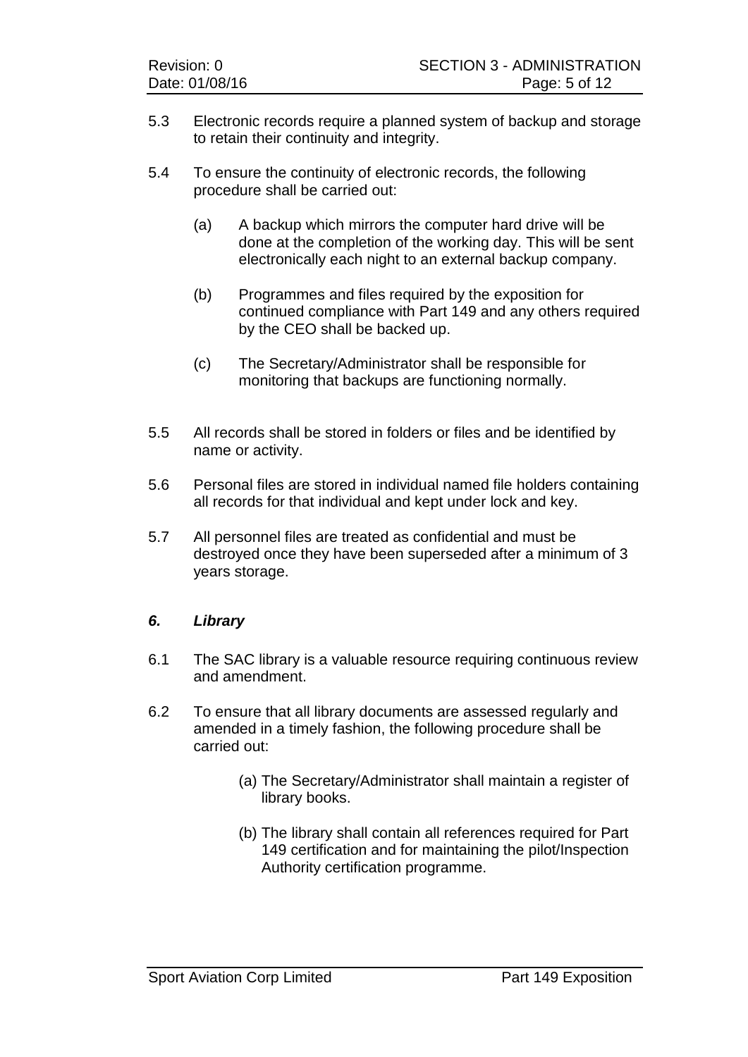- 5.3 Electronic records require a planned system of backup and storage to retain their continuity and integrity.
- 5.4 To ensure the continuity of electronic records, the following procedure shall be carried out:
	- (a) A backup which mirrors the computer hard drive will be done at the completion of the working day. This will be sent electronically each night to an external backup company.
	- (b) Programmes and files required by the exposition for continued compliance with Part 149 and any others required by the CEO shall be backed up.
	- (c) The Secretary/Administrator shall be responsible for monitoring that backups are functioning normally.
- 5.5 All records shall be stored in folders or files and be identified by name or activity.
- 5.6 Personal files are stored in individual named file holders containing all records for that individual and kept under lock and key.
- 5.7 All personnel files are treated as confidential and must be destroyed once they have been superseded after a minimum of 3 years storage.

## *6. Library*

- 6.1 The SAC library is a valuable resource requiring continuous review and amendment.
- 6.2 To ensure that all library documents are assessed regularly and amended in a timely fashion, the following procedure shall be carried out:
	- (a) The Secretary/Administrator shall maintain a register of library books.
	- (b) The library shall contain all references required for Part 149 certification and for maintaining the pilot/Inspection Authority certification programme.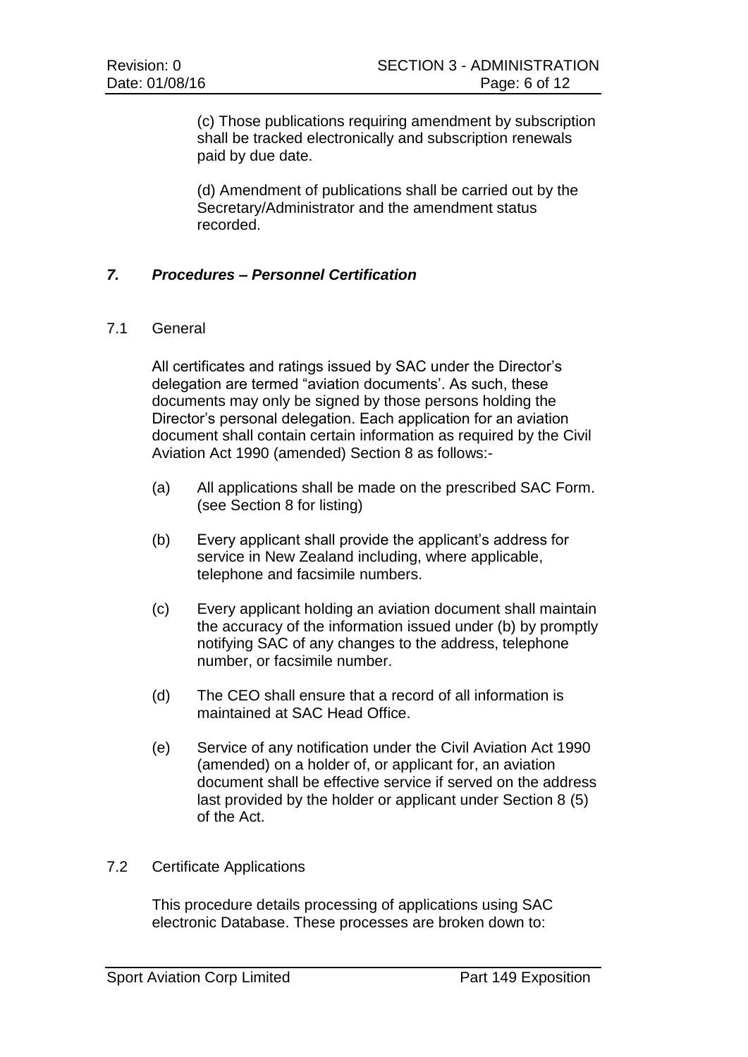(c) Those publications requiring amendment by subscription shall be tracked electronically and subscription renewals paid by due date.

(d) Amendment of publications shall be carried out by the Secretary/Administrator and the amendment status recorded.

#### *7. Procedures – Personnel Certification*

#### 7.1 General

All certificates and ratings issued by SAC under the Director's delegation are termed "aviation documents'. As such, these documents may only be signed by those persons holding the Director's personal delegation. Each application for an aviation document shall contain certain information as required by the Civil Aviation Act 1990 (amended) Section 8 as follows:-

- (a) All applications shall be made on the prescribed SAC Form. (see Section 8 for listing)
- (b) Every applicant shall provide the applicant's address for service in New Zealand including, where applicable, telephone and facsimile numbers.
- (c) Every applicant holding an aviation document shall maintain the accuracy of the information issued under (b) by promptly notifying SAC of any changes to the address, telephone number, or facsimile number.
- (d) The CEO shall ensure that a record of all information is maintained at SAC Head Office.
- (e) Service of any notification under the Civil Aviation Act 1990 (amended) on a holder of, or applicant for, an aviation document shall be effective service if served on the address last provided by the holder or applicant under Section 8 (5) of the Act.

#### 7.2 Certificate Applications

This procedure details processing of applications using SAC electronic Database. These processes are broken down to: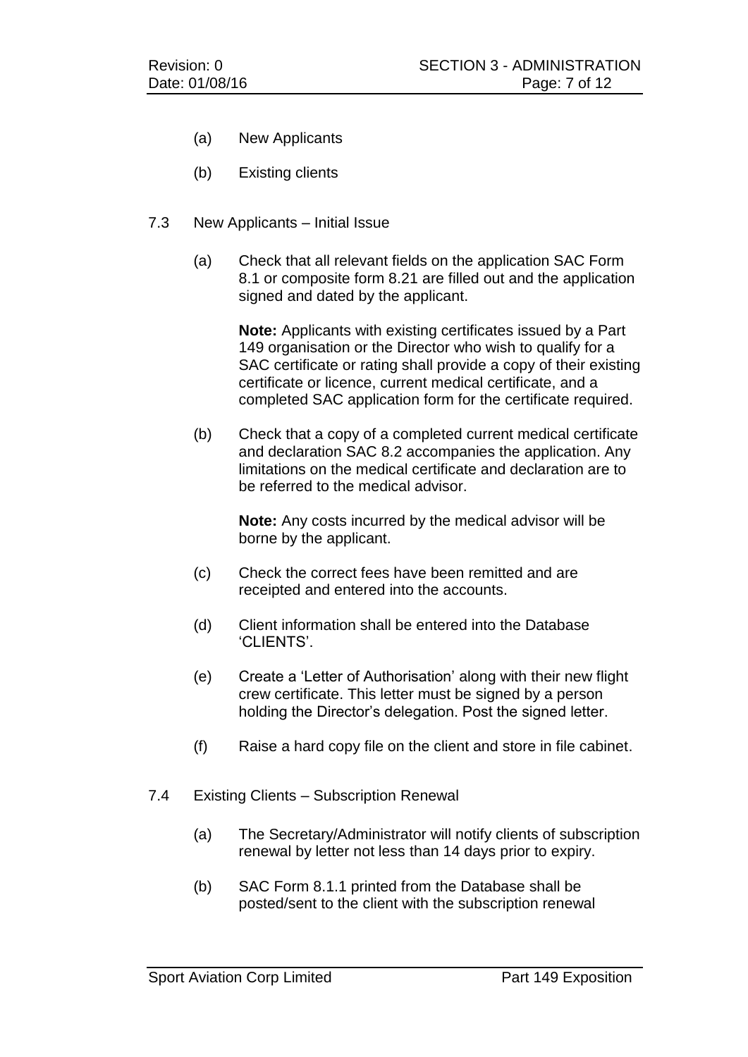- (a) New Applicants
- (b) Existing clients
- 7.3 New Applicants Initial Issue
	- (a) Check that all relevant fields on the application SAC Form 8.1 or composite form 8.21 are filled out and the application signed and dated by the applicant.

**Note:** Applicants with existing certificates issued by a Part 149 organisation or the Director who wish to qualify for a SAC certificate or rating shall provide a copy of their existing certificate or licence, current medical certificate, and a completed SAC application form for the certificate required.

(b) Check that a copy of a completed current medical certificate and declaration SAC 8.2 accompanies the application. Any limitations on the medical certificate and declaration are to be referred to the medical advisor.

**Note:** Any costs incurred by the medical advisor will be borne by the applicant.

- (c) Check the correct fees have been remitted and are receipted and entered into the accounts.
- (d) Client information shall be entered into the Database 'CLIENTS'.
- (e) Create a 'Letter of Authorisation' along with their new flight crew certificate. This letter must be signed by a person holding the Director's delegation. Post the signed letter.
- (f) Raise a hard copy file on the client and store in file cabinet.
- 7.4 Existing Clients Subscription Renewal
	- (a) The Secretary/Administrator will notify clients of subscription renewal by letter not less than 14 days prior to expiry.
	- (b) SAC Form 8.1.1 printed from the Database shall be posted/sent to the client with the subscription renewal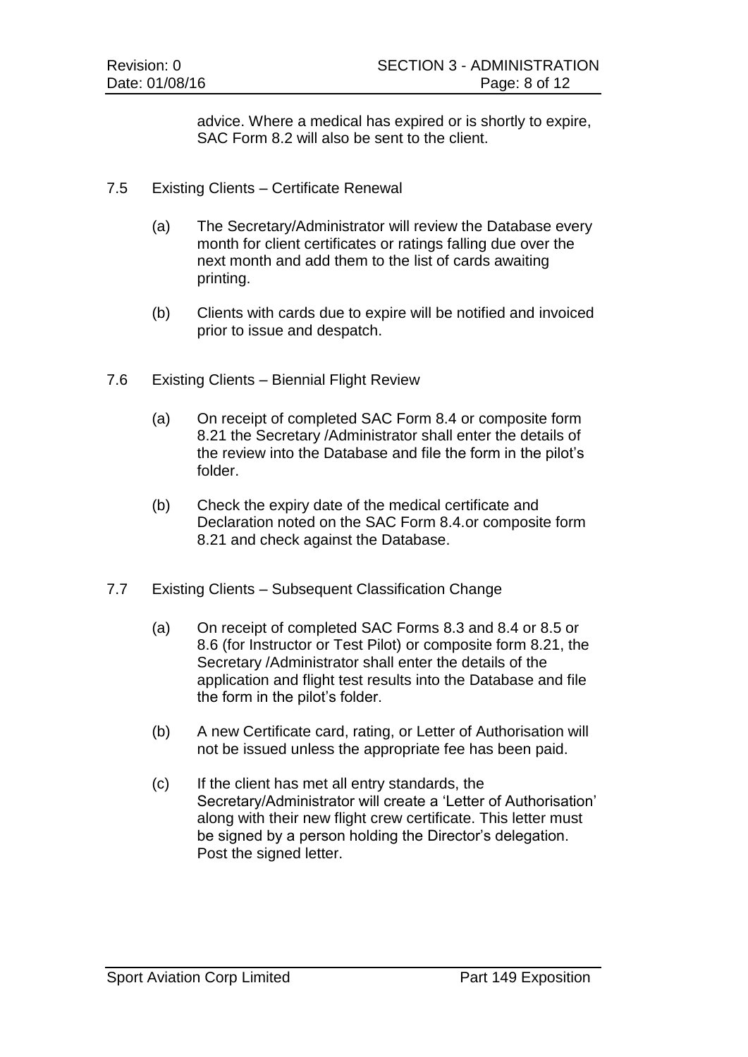advice. Where a medical has expired or is shortly to expire, SAC Form 8.2 will also be sent to the client.

- 7.5 Existing Clients Certificate Renewal
	- (a) The Secretary/Administrator will review the Database every month for client certificates or ratings falling due over the next month and add them to the list of cards awaiting printing.
	- (b) Clients with cards due to expire will be notified and invoiced prior to issue and despatch.
- 7.6 Existing Clients Biennial Flight Review
	- (a) On receipt of completed SAC Form 8.4 or composite form 8.21 the Secretary /Administrator shall enter the details of the review into the Database and file the form in the pilot's folder.
	- (b) Check the expiry date of the medical certificate and Declaration noted on the SAC Form 8.4.or composite form 8.21 and check against the Database.
- 7.7 Existing Clients Subsequent Classification Change
	- (a) On receipt of completed SAC Forms 8.3 and 8.4 or 8.5 or 8.6 (for Instructor or Test Pilot) or composite form 8.21, the Secretary /Administrator shall enter the details of the application and flight test results into the Database and file the form in the pilot's folder.
	- (b) A new Certificate card, rating, or Letter of Authorisation will not be issued unless the appropriate fee has been paid.
	- (c) If the client has met all entry standards, the Secretary/Administrator will create a 'Letter of Authorisation' along with their new flight crew certificate. This letter must be signed by a person holding the Director's delegation. Post the signed letter.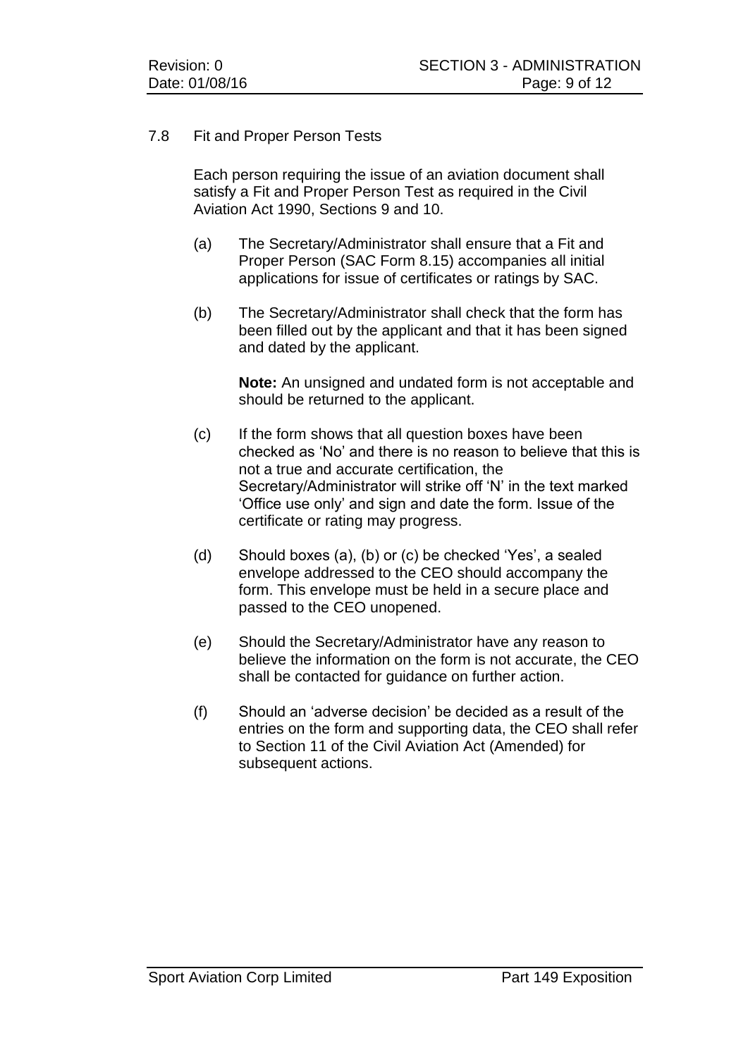#### 7.8 Fit and Proper Person Tests

Each person requiring the issue of an aviation document shall satisfy a Fit and Proper Person Test as required in the Civil Aviation Act 1990, Sections 9 and 10.

- (a) The Secretary/Administrator shall ensure that a Fit and Proper Person (SAC Form 8.15) accompanies all initial applications for issue of certificates or ratings by SAC.
- (b) The Secretary/Administrator shall check that the form has been filled out by the applicant and that it has been signed and dated by the applicant.

**Note:** An unsigned and undated form is not acceptable and should be returned to the applicant.

- (c) If the form shows that all question boxes have been checked as 'No' and there is no reason to believe that this is not a true and accurate certification, the Secretary/Administrator will strike off 'N' in the text marked 'Office use only' and sign and date the form. Issue of the certificate or rating may progress.
- (d) Should boxes (a), (b) or (c) be checked 'Yes', a sealed envelope addressed to the CEO should accompany the form. This envelope must be held in a secure place and passed to the CEO unopened.
- (e) Should the Secretary/Administrator have any reason to believe the information on the form is not accurate, the CEO shall be contacted for guidance on further action.
- (f) Should an 'adverse decision' be decided as a result of the entries on the form and supporting data, the CEO shall refer to Section 11 of the Civil Aviation Act (Amended) for subsequent actions.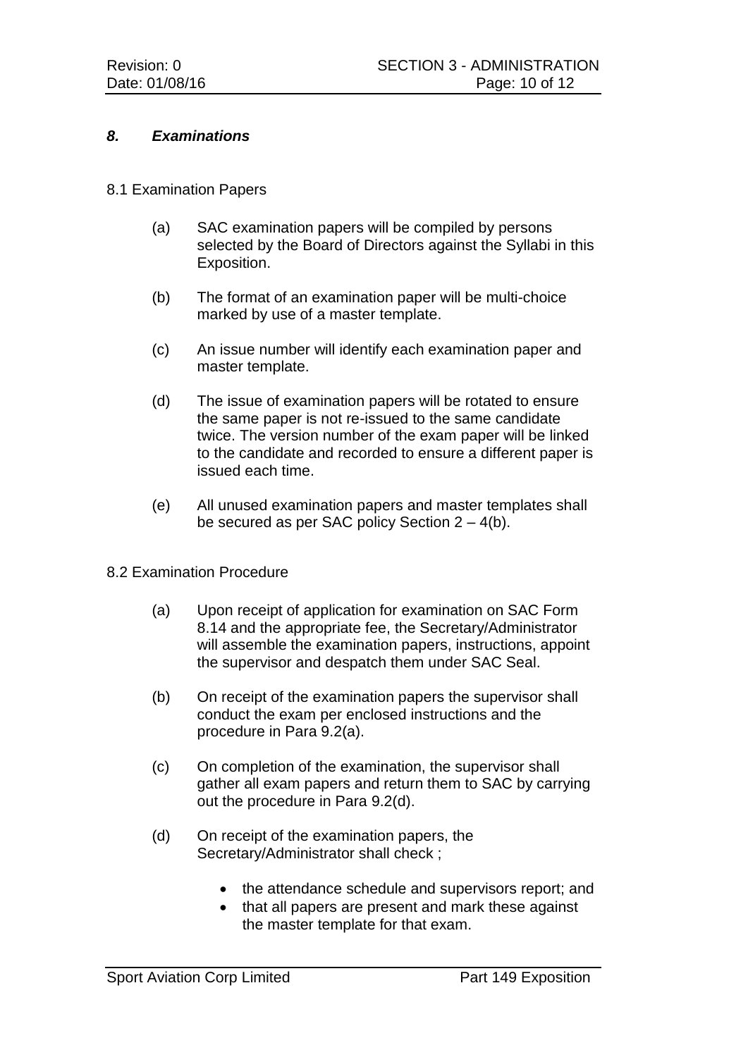#### *8. Examinations*

#### 8.1 Examination Papers

- (a) SAC examination papers will be compiled by persons selected by the Board of Directors against the Syllabi in this Exposition.
- (b) The format of an examination paper will be multi-choice marked by use of a master template.
- (c) An issue number will identify each examination paper and master template.
- (d) The issue of examination papers will be rotated to ensure the same paper is not re-issued to the same candidate twice. The version number of the exam paper will be linked to the candidate and recorded to ensure a different paper is issued each time.
- (e) All unused examination papers and master templates shall be secured as per SAC policy Section 2 – 4(b).
- 8.2 Examination Procedure
	- (a) Upon receipt of application for examination on SAC Form 8.14 and the appropriate fee, the Secretary/Administrator will assemble the examination papers, instructions, appoint the supervisor and despatch them under SAC Seal.
	- (b) On receipt of the examination papers the supervisor shall conduct the exam per enclosed instructions and the procedure in Para 9.2(a).
	- (c) On completion of the examination, the supervisor shall gather all exam papers and return them to SAC by carrying out the procedure in Para 9.2(d).
	- (d) On receipt of the examination papers, the Secretary/Administrator shall check ;
		- the attendance schedule and supervisors report; and
		- that all papers are present and mark these against the master template for that exam.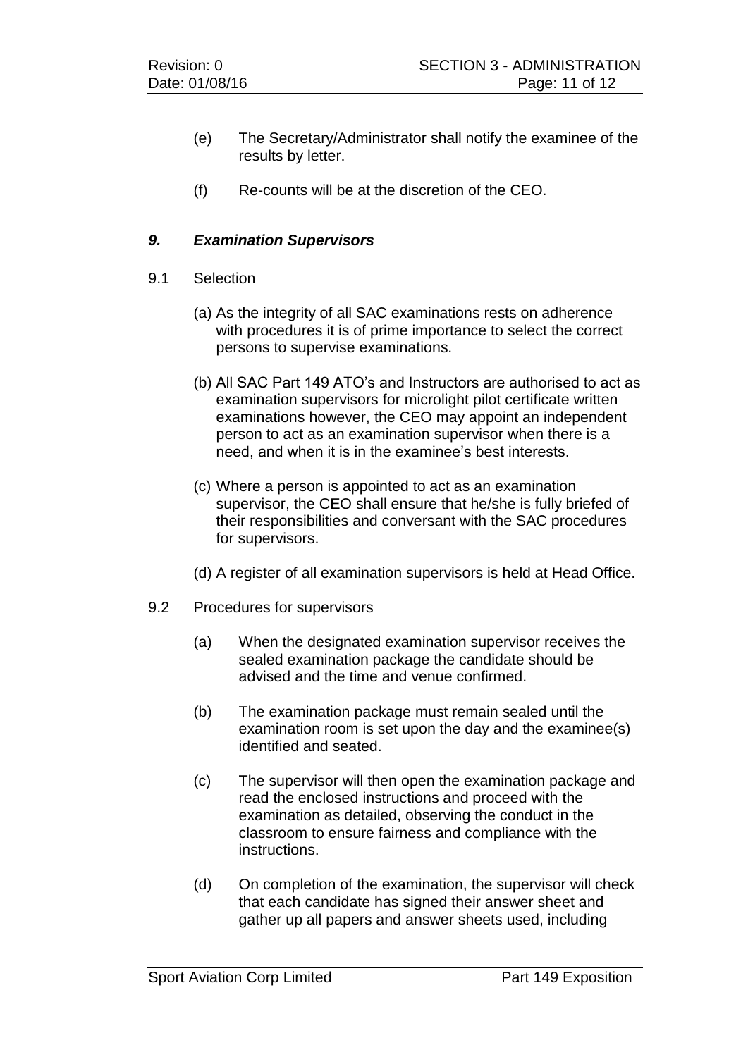- (e) The Secretary/Administrator shall notify the examinee of the results by letter.
- (f) Re-counts will be at the discretion of the CEO.

## *9. Examination Supervisors*

- 9.1 Selection
	- (a) As the integrity of all SAC examinations rests on adherence with procedures it is of prime importance to select the correct persons to supervise examinations.
	- (b) All SAC Part 149 ATO's and Instructors are authorised to act as examination supervisors for microlight pilot certificate written examinations however, the CEO may appoint an independent person to act as an examination supervisor when there is a need, and when it is in the examinee's best interests.
	- (c) Where a person is appointed to act as an examination supervisor, the CEO shall ensure that he/she is fully briefed of their responsibilities and conversant with the SAC procedures for supervisors.
	- (d) A register of all examination supervisors is held at Head Office.
- 9.2 Procedures for supervisors
	- (a) When the designated examination supervisor receives the sealed examination package the candidate should be advised and the time and venue confirmed.
	- (b) The examination package must remain sealed until the examination room is set upon the day and the examinee(s) identified and seated.
	- (c) The supervisor will then open the examination package and read the enclosed instructions and proceed with the examination as detailed, observing the conduct in the classroom to ensure fairness and compliance with the instructions.
	- (d) On completion of the examination, the supervisor will check that each candidate has signed their answer sheet and gather up all papers and answer sheets used, including